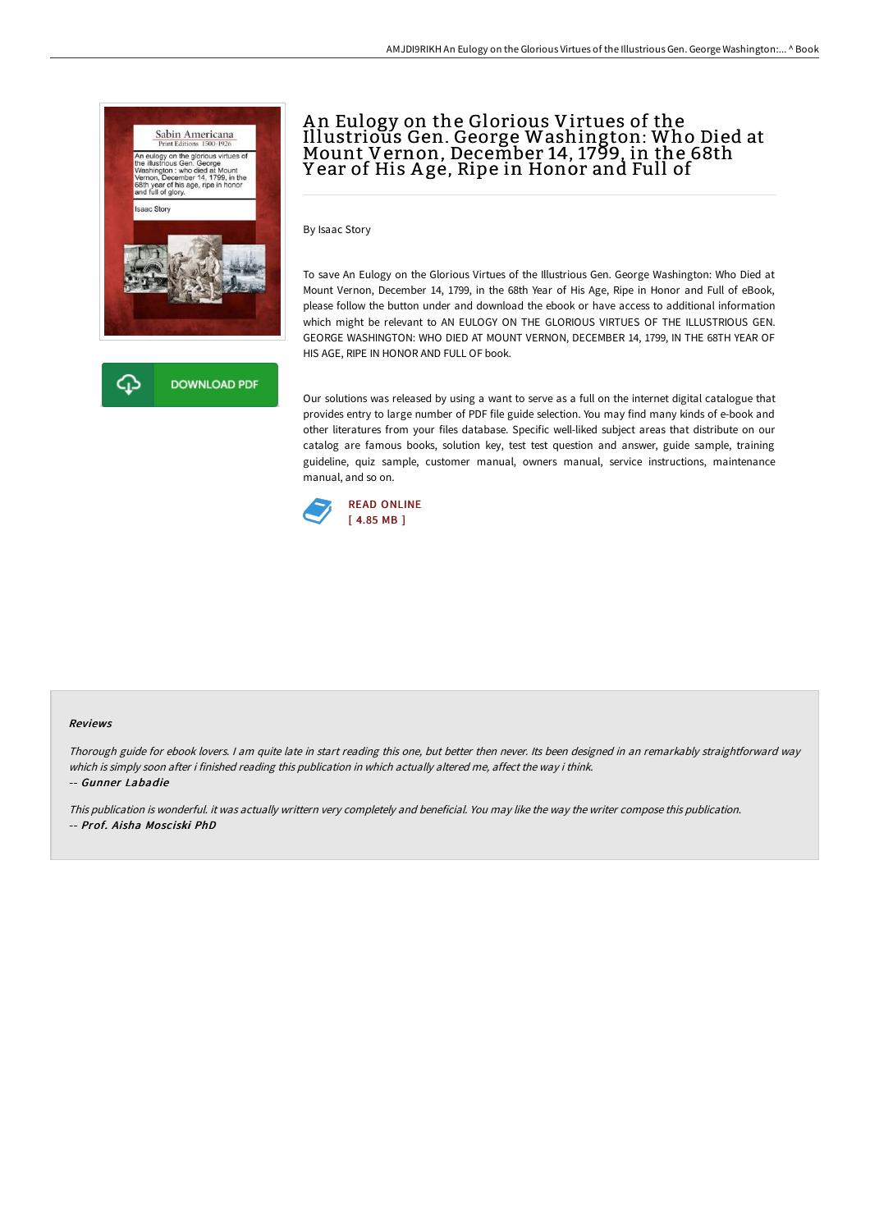

## A n Eulogy on the Glorious Virtues of the Illustrious Gen. George Washington: Who Died at Mount Vernon, December 14, 1799, in the 68th Year of His Age, Ripe in Honor and Full of

By Isaac Story

To save An Eulogy on the Glorious Virtues of the Illustrious Gen. George Washington: Who Died at Mount Vernon, December 14, 1799, in the 68th Year of His Age, Ripe in Honor and Full of eBook, please follow the button under and download the ebook or have access to additional information which might be relevant to AN EULOGY ON THE GLORIOUS VIRTUES OF THE ILLUSTRIOUS GEN. GEORGE WASHINGTON: WHO DIED AT MOUNT VERNON, DECEMBER 14, 1799, IN THE 68TH YEAR OF HIS AGE, RIPE IN HONOR AND FULL OF book.

Our solutions was released by using a want to serve as a full on the internet digital catalogue that provides entry to large number of PDF file guide selection. You may find many kinds of e-book and other literatures from your files database. Specific well-liked subject areas that distribute on our catalog are famous books, solution key, test test question and answer, guide sample, training guideline, quiz sample, customer manual, owners manual, service instructions, maintenance manual, and so on.



## Reviews

Thorough guide for ebook lovers. <sup>I</sup> am quite late in start reading this one, but better then never. Its been designed in an remarkably straightforward way which is simply soon after i finished reading this publication in which actually altered me, affect the way i think. -- Gunner Labadie

This publication is wonderful. it was actually writtern very completely and beneficial. You may like the way the writer compose this publication. -- Prof. Aisha Mosciski PhD